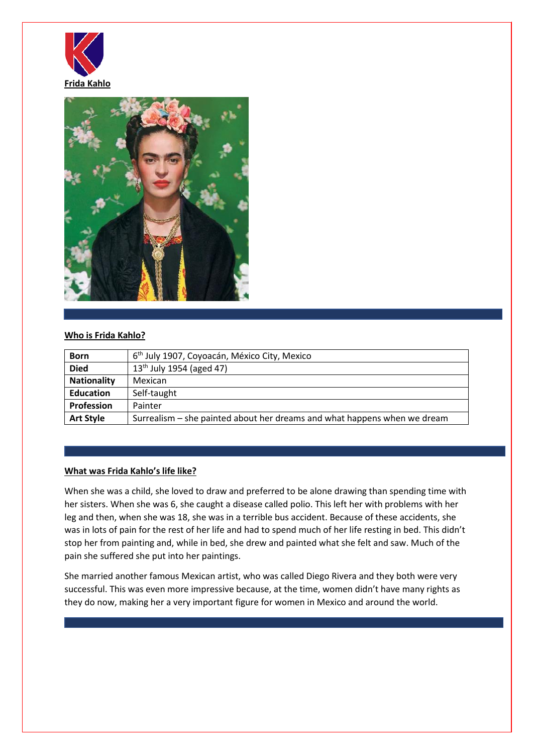



# **Who is Frida Kahlo?**

| <b>Born</b>        | 6 <sup>th</sup> July 1907, Coyoacán, México City, Mexico                 |
|--------------------|--------------------------------------------------------------------------|
| <b>Died</b>        | $13^{th}$ July 1954 (aged 47)                                            |
| <b>Nationality</b> | Mexican                                                                  |
| <b>Education</b>   | Self-taught                                                              |
| Profession         | Painter                                                                  |
| <b>Art Style</b>   | Surrealism – she painted about her dreams and what happens when we dream |

# **What was Frida Kahlo's life like?**

When she was a child, she loved to draw and preferred to be alone drawing than spending time with her sisters. When she was 6, she caught a disease called polio. This left her with problems with her leg and then, when she was 18, she was in a terrible bus accident. Because of these accidents, she was in lots of pain for the rest of her life and had to spend much of her life resting in bed. This didn't stop her from painting and, while in bed, she drew and painted what she felt and saw. Much of the pain she suffered she put into her paintings.

She married another famous Mexican artist, who was called Diego Rivera and they both were very successful. This was even more impressive because, at the time, women didn't have many rights as they do now, making her a very important figure for women in Mexico and around the world.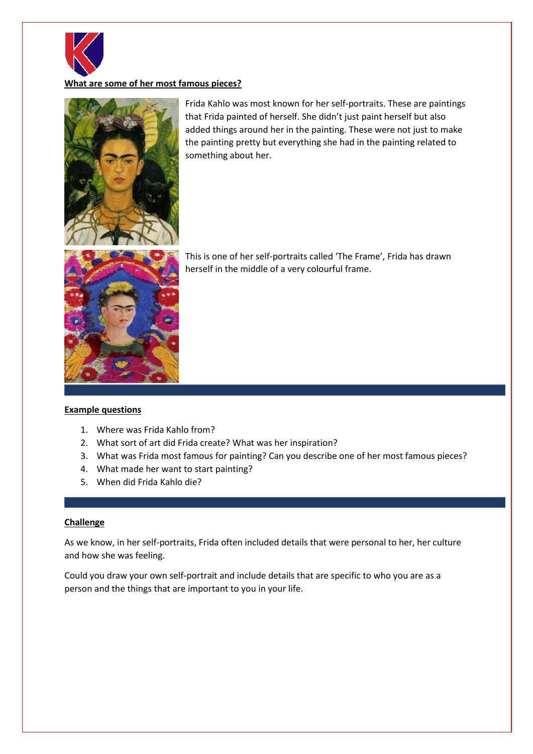

### **What are some of her most famous pieces?**



Frida Kahlo was most known for her self-portraits. These are paintings that Frida painted of herself. She didn't just paint herself but also added things around her in the painting. These were not just to make the painting pretty but everything she had in the painting related to something about her.

This is one of her self-portraits called 'The Frame', Frida has drawn herself in the middle of a very colourful frame.

### **Example questions**

- 1. Where was Frida Kahlo from?
- 2. What sort of art did Frida create? What was her inspiration?
- 3. What was Frida most famous for painting? Can you describe one of her most famous pieces?
- 4. What made her want to start painting?
- 5. When did Frida Kahlo die?

#### **Challenge**

As we know, in her self-portraits, Frida often included details that were personal to her, her culture and how she was feeling.

Could you draw your own self-portrait and include details that are specific to who you are as a person and the things that are important to you in your life.